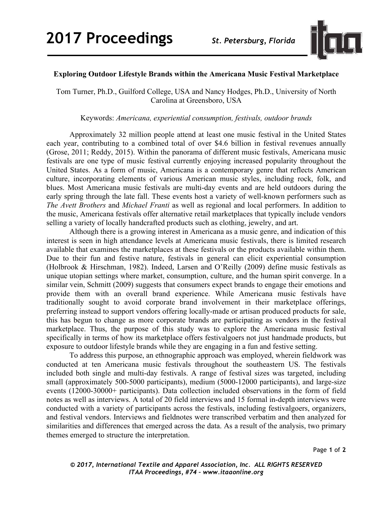

## **Exploring Outdoor Lifestyle Brands within the Americana Music Festival Marketplace**

Tom Turner, Ph.D., Guilford College, USA and Nancy Hodges, Ph.D., University of North Carolina at Greensboro, USA

Keywords: *Americana, experiential consumption, festivals, outdoor brands*

Approximately 32 million people attend at least one music festival in the United States each year, contributing to a combined total of over \$4.6 billion in festival revenues annually (Grose, 2011; Reddy, 2015). Within the panorama of different music festivals, Americana music festivals are one type of music festival currently enjoying increased popularity throughout the United States. As a form of music, Americana is a contemporary genre that reflects American culture, incorporating elements of various American music styles, including rock, folk, and blues. Most Americana music festivals are multi-day events and are held outdoors during the early spring through the late fall. These events host a variety of well-known performers such as *The Avett Brothers* and *Michael Franti* as well as regional and local performers. In addition to the music, Americana festivals offer alternative retail marketplaces that typically include vendors selling a variety of locally handcrafted products such as clothing, jewelry, and art.

Although there is a growing interest in Americana as a music genre, and indication of this interest is seen in high attendance levels at Americana music festivals, there is limited research available that examines the marketplaces at these festivals or the products available within them. Due to their fun and festive nature, festivals in general can elicit experiential consumption (Holbrook & Hirschman, 1982). Indeed, Larsen and O'Reilly (2009) define music festivals as unique utopian settings where market, consumption, culture, and the human spirit converge. In a similar vein, Schmitt (2009) suggests that consumers expect brands to engage their emotions and provide them with an overall brand experience. While Americana music festivals have traditionally sought to avoid corporate brand involvement in their marketplace offerings, preferring instead to support vendors offering locally-made or artisan produced products for sale, this has begun to change as more corporate brands are participating as vendors in the festival marketplace. Thus, the purpose of this study was to explore the Americana music festival specifically in terms of how its marketplace offers festivalgoers not just handmade products, but exposure to outdoor lifestyle brands while they are engaging in a fun and festive setting.

To address this purpose, an ethnographic approach was employed, wherein fieldwork was conducted at ten Americana music festivals throughout the southeastern US. The festivals included both single and multi-day festivals. A range of festival sizes was targeted, including small (approximately 500-5000 participants), medium (5000-12000 participants), and large-size events (12000-30000+ participants). Data collection included observations in the form of field notes as well as interviews. A total of 20 field interviews and 15 formal in-depth interviews were conducted with a variety of participants across the festivals, including festivalgoers, organizers, and festival vendors. Interviews and fieldnotes were transcribed verbatim and then analyzed for similarities and differences that emerged across the data. As a result of the analysis, two primary themes emerged to structure the interpretation.

Page **1** of **2**

*© 2017, International Textile and Apparel Association, Inc. ALL RIGHTS RESERVED ITAA Proceedings, #74 – www.itaaonline.org*